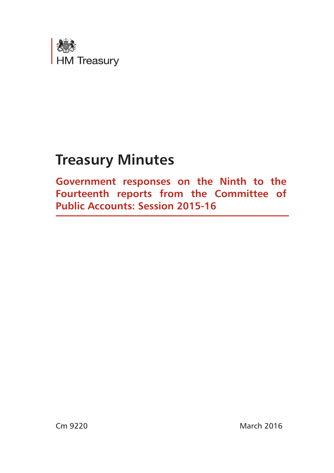

# **Treasury Minutes**

**Government responses on the Ninth to the Fourteenth reports from the Committee of Public Accounts: Session 2015-16**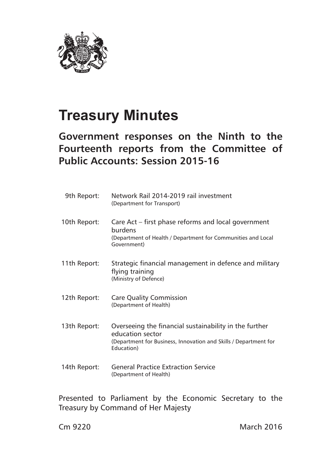

# **Treasury Minutes**

# **Government responses on the Ninth to the Fourteenth reports from the Committee of Public Accounts: Session 2015-16**

| 9th Report:  | Network Rail 2014-2019 rail investment<br>(Department for Transport)                                                                                         |
|--------------|--------------------------------------------------------------------------------------------------------------------------------------------------------------|
| 10th Report: | Care Act – first phase reforms and local government<br>burdens<br>(Department of Health / Department for Communities and Local<br>Government)                |
| 11th Report: | Strategic financial management in defence and military<br>flying training<br>(Ministry of Defence)                                                           |
| 12th Report: | <b>Care Quality Commission</b><br>(Department of Health)                                                                                                     |
| 13th Report: | Overseeing the financial sustainability in the further<br>education sector<br>(Department for Business, Innovation and Skills / Department for<br>Education) |
| 14th Report: | <b>General Practice Extraction Service</b><br>(Department of Health)                                                                                         |

Presented to Parliament by the Economic Secretary to the Treasury by Command of Her Majesty

Cm 9220 March 2016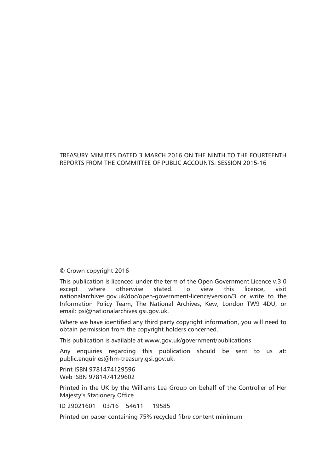#### TREASURY MINUTES DATED 3 MARCH 2016 ON THE NINTH TO THE FOURTEENTH REPORTS FROM THE COMMITTEE OF PUBLIC ACCOUNTS: SESSION 2015-16

#### © Crown copyright 2016

This publication is licenced under the term of the Open Government Licence v.3.0 except where otherwise stated. To view this licence, visit nationalarchives.gov.uk/doc/open-government-licence/version/3 or write to the Information Policy Team, The National Archives, Kew, London TW9 4DU, or email: psi@nationalarchives.gsi.gov.uk.

Where we have identified any third party copyright information, you will need to obtain permission from the copyright holders concerned.

This publication is available at www.gov.uk/government/publications

Any enquiries regarding this publication should be sent to us at: public.enquiries@hm-treasury.gsi.gov.uk.

Print ISBN 9781474129596 Web ISBN 9781474129602

Printed in the UK by the Williams Lea Group on behalf of the Controller of Her Majesty's Stationery Office

ID 29021601 03/16 54611 19585

Printed on paper containing 75% recycled fibre content minimum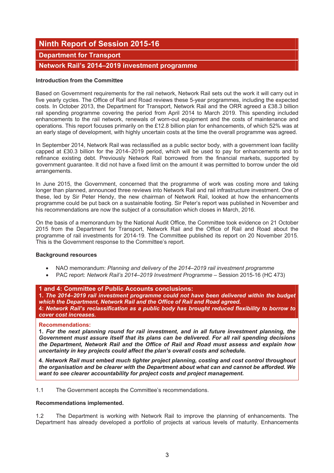# **Ninth Report of Session 2015-16**

## **Department for Transport**

## **Network Rail's 2014–2019 investment programme**

#### **Introduction from the Committee**

Based on Government requirements for the rail network, Network Rail sets out the work it will carry out in five yearly cycles. The Office of Rail and Road reviews these 5-year programmes, including the expected costs. In October 2013, the Department for Transport, Network Rail and the ORR agreed a £38.3 billion rail spending programme covering the period from April 2014 to March 2019. This spending included enhancements to the rail network, renewals of worn-out equipment and the costs of maintenance and operations. This report focuses primarily on the £12.8 billion plan for enhancements, of which 52% was at an early stage of development, with highly uncertain costs at the time the overall programme was agreed.

In September 2014, Network Rail was reclassified as a public sector body, with a government loan facility capped at £30.3 billion for the 2014–2019 period, which will be used to pay for enhancements and to refinance existing debt. Previously Network Rail borrowed from the financial markets, supported by government guarantee. It did not have a fixed limit on the amount it was permitted to borrow under the old arrangements.

In June 2015, the Government, concerned that the programme of work was costing more and taking longer than planned, announced three reviews into Network Rail and rail infrastructure investment. One of these, led by Sir Peter Hendy, the new chairman of Network Rail, looked at how the enhancements programme could be put back on a sustainable footing. Sir Peter's report was published in November and his recommendations are now the subject of a consultation which closes in March, 2016.

On the basis of a memorandum by the National Audit Office, the Committee took evidence on 21 October 2015 from the Department for Transport, Network Rail and the Office of Rail and Road about the programme of rail investments for 2014-19. The Committee published its report on 20 November 2015. This is the Government response to the Committee's report.

#### **Background resources**

- NAO memorandum: *Planning and delivery of the 2014–2019 rail investment programme*
- PAC report: *Network Rail's 2014–2019 Investment Programme* Session 2015-16 (HC 473)

#### **1 and 4: Committee of Public Accounts conclusions:**

**1.** *The 2014–2019 rail investment programme could not have been delivered within the budget which the Department, Network Rail and the Office of Rail and Road agreed.*  **4:** *Network Rail's reclassification as a public body has brought reduced flexibility to borrow to cover cost increases.* 

#### **Recommendations:**

**1.** *For the next planning round for rail investment, and in all future investment planning, the Government must assure itself that its plans can be delivered. For all rail spending decisions the Department, Network Rail and the Office of Rail and Road must assess and explain how uncertainty in key projects could affect the plan's overall costs and schedule.* 

**4.** *Network Rail must embed much tighter project planning, costing and cost control throughout the organisation and be clearer with the Department about what can and cannot be afforded. We want to see clearer accountability for project costs and project management.*

1.1 The Government accepts the Committee's recommendations.

#### **Recommendations implemented.**

1.2 The Department is working with Network Rail to improve the planning of enhancements. The Department has already developed a portfolio of projects at various levels of maturity. Enhancements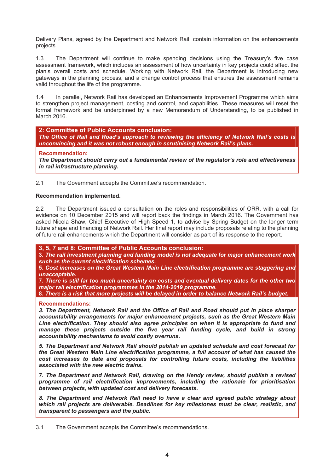Delivery Plans, agreed by the Department and Network Rail, contain information on the enhancements projects.

1.3 The Department will continue to make spending decisions using the Treasury's five case assessment framework, which includes an assessment of how uncertainty in key projects could affect the plan's overall costs and schedule. Working with Network Rail, the Department is introducing new gateways in the planning process, and a change control process that ensures the assessment remains valid throughout the life of the programme.

1.4 In parallel, Network Rail has developed an Enhancements Improvement Programme which aims to strengthen project management, costing and control, and capabilities. These measures will reset the formal framework and be underpinned by a new Memorandum of Understanding, to be published in March 2016.

**2: Committee of Public Accounts conclusion:**  *The Office of Rail and Road's approach to reviewing the efficiency of Network Rail's costs is unconvincing and it was not robust enough in scrutinising Network Rail's plans.* 

**Recommendation:** 

*The Department should carry out a fundamental review of the regulator's role and effectiveness in rail infrastructure planning.*

2.1 The Government accepts the Committee's recommendation.

#### **Recommendation implemented.**

2.2 The Department issued a consultation on the roles and responsibilities of ORR, with a call for evidence on 10 December 2015 and will report back the findings in March 2016. The Government has asked Nicola Shaw, Chief Executive of High Speed 1, to advise by Spring Budget on the longer term future shape and financing of Network Rail. Her final report may include proposals relating to the planning of future rail enhancements which the Department will consider as part of its response to the report.

**3, 5, 7 and 8: Committee of Public Accounts conclusion:**

**3.** *The rail investment planning and funding model is not adequate for major enhancement work such as the current electrification schemes.* 

**5.** *Cost increases on the Great Western Main Line electrification programme are staggering and unacceptable.* 

**7.** *There is still far too much uncertainty on costs and eventual delivery dates for the other two major rail electrification programmes in the 2014-2019 programme.* 

**8.** *There is a risk that more projects will be delayed in order to balance Network Rail's budget.* 

**Recommendations:** 

*3. The Department, Network Rail and the Office of Rail and Road should put in place sharper accountability arrangements for major enhancement projects, such as the Great Western Main Line electrification. They should also agree principles on when it is appropriate to fund and*  manage these projects outside the five year rail funding cycle, and build in strong *accountability mechanisms to avoid costly overruns.* 

*5. The Department and Network Rail should publish an updated schedule and cost forecast for the Great Western Main Line electrification programme, a full account of what has caused the cost increases to date and proposals for controlling future costs, including the liabilities associated with the new electric trains.* 

*7. The Department and Network Rail, drawing on the Hendy review, should publish a revised programme of rail electrification improvements, including the rationale for prioritisation between projects, with updated cost and delivery forecasts.* 

*8. The Department and Network Rail need to have a clear and agreed public strategy about which rail projects are deliverable. Deadlines for key milestones must be clear, realistic, and transparent to passengers and the public.*

3.1 The Government accepts the Committee's recommendations.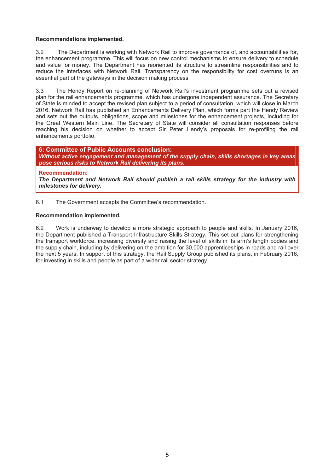#### **Recommendations implemented.**

3.2 The Department is working with Network Rail to improve governance of, and accountabilities for, the enhancement programme. This will focus on new control mechanisms to ensure delivery to schedule and value for money. The Department has reoriented its structure to streamline responsibilities and to reduce the interfaces with Network Rail. Transparency on the responsibility for cost overruns is an essential part of the gateways in the decision making process.

3.3 The Hendy Report on re-planning of Network Rail's investment programme sets out a revised plan for the rail enhancements programme, which has undergone independent assurance. The Secretary of State is minded to accept the revised plan subject to a period of consultation, which will close in March 2016. Network Rail has published an Enhancements Delivery Plan, which forms part the Hendy Review and sets out the outputs, obligations, scope and milestones for the enhancement projects, including for the Great Western Main Line. The Secretary of State will consider all consultation responses before reaching his decision on whether to accept Sir Peter Hendy's proposals for re-profiling the rail enhancements portfolio.

**6: Committee of Public Accounts conclusion:**  *Without active engagement and management of the supply chain, skills shortages in key areas pose serious risks to Network Rail delivering its plans.* 

#### **Recommendation:**

*The Department and Network Rail should publish a rail skills strategy for the industry with milestones for delivery.*

6.1 The Government accepts the Committee's recommendation.

#### **Recommendation implemented.**

6.2 Work is underway to develop a more strategic approach to people and skills. In January 2016, the Department published a Transport Infrastructure Skills Strategy. This set out plans for strengthening the transport workforce, increasing diversity and raising the level of skills in its arm's length bodies and the supply chain, including by delivering on the ambition for 30,000 apprenticeships in roads and rail over the next 5 years. In support of this strategy, the Rail Supply Group published its plans, in February 2016, for investing in skills and people as part of a wider rail sector strategy.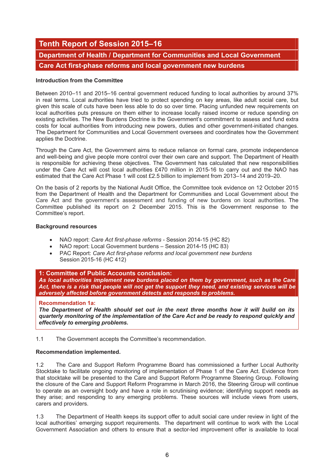# **Tenth Report of Session 2015–16 Department of Health / Department for Communities and Local Government Care Act first-phase reforms and local government new burdens**

#### **Introduction from the Committee**

Between 2010–11 and 2015–16 central government reduced funding to local authorities by around 37% in real terms. Local authorities have tried to protect spending on key areas, like adult social care, but given this scale of cuts have been less able to do so over time. Placing unfunded new requirements on local authorities puts pressure on them either to increase locally raised income or reduce spending on existing activities. The New Burdens Doctrine is the Government's commitment to assess and fund extra costs for local authorities from introducing new powers, duties and other government-initiated changes. The Department for Communities and Local Government oversees and coordinates how the Government applies the Doctrine.

Through the Care Act, the Government aims to reduce reliance on formal care, promote independence and well-being and give people more control over their own care and support. The Department of Health is responsible for achieving these objectives. The Government has calculated that new responsibilities under the Care Act will cost local authorities £470 million in 2015-16 to carry out and the NAO has estimated that the Care Act Phase 1 will cost £2.5 billion to implement from 2013–14 and 2019–20.

On the basis of 2 reports by the National Audit Office, the Committee took evidence on 12 October 2015 from the Department of Health and the Department for Communities and Local Government about the Care Act and the government's assessment and funding of new burdens on local authorities. The Committee published its report on 2 December 2015. This is the Government response to the Committee's report.

#### **Background resources**

- NAO report: *Care Act first-phase reforms* Session 2014-15 (HC 82)
- NAO report: Local Government burdens Session 2014-15 (HC 83)
- PAC Report: *Care Act first-phase reforms and local government new burdens* Session 2015-16 (HC 412)

#### **1: Committee of Public Accounts conclusion:**

*As local authorities implement new burdens placed on them by government, such as the Care Act, there is a risk that people will not get the support they need, and existing services will be adversely affected before government detects and responds to problems.* 

#### **Recommendation 1a:**

*The Department of Health should set out in the next three months how it will build on its quarterly monitoring of the implementation of the Care Act and be ready to respond quickly and effectively to emerging problems.* 

1.1 The Government accepts the Committee's recommendation.

#### **Recommendation implemented.**

1.2 The Care and Support Reform Programme Board has commissioned a further Local Authority Stocktake to facilitate ongoing monitoring of implementation of Phase 1 of the Care Act. Evidence from that stocktake will be presented to the Care and Support Reform Programme Steering Group. Following the closure of the Care and Support Reform Programme in March 2016, the Steering Group will continue to operate as an oversight body and have a role in scrutinising evidence; identifying support needs as they arise; and responding to any emerging problems. These sources will include views from users, carers and providers.

1.3 The Department of Health keeps its support offer to adult social care under review in light of the local authorities' emerging support requirements. The department will continue to work with the Local Government Association and others to ensure that a sector-led improvement offer is available to local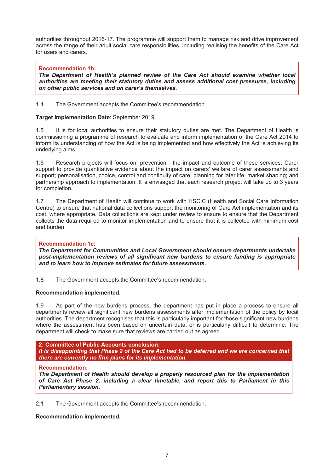authorities throughout 2016-17. The programme will support them to manage risk and drive improvement across the range of their adult social care responsibilities, including realising the benefits of the Care Act for users and carers.

#### **Recommendation 1b:**

*The Department of Health's planned review of the Care Act should examine whether local authorities are meeting their statutory duties and assess additional cost pressures, including*  **on other public services and on carer's themselves.** 

1.4 The Government accepts the Committee's recommendation.

#### **Target Implementation Date**: September 2019.

1.5 It is for local authorities to ensure their statutory duties are met. The Department of Health is commissioning a programme of research to evaluate and inform implementation of the Care Act 2014 to inform its understanding of how the Act is being implemented and how effectively the Act is achieving its underlying aims.

1.6 Research projects will focus on: prevention - the impact and outcome of these services; Carer support to provide quantitative evidence about the impact on carers' welfare of carer assessments and support; personalisation, choice, control and continuity of care; planning for later life; market shaping; and partnership approach to implementation. It is envisaged that each research project will take up to 3 years for completion.

1.7 The Department of Health will continue to work with HSCIC (Health and Social Care Information Centre) to ensure that national data collections support the monitoring of Care Act implementation and its cost, where appropriate. Data collections are kept under review to ensure to ensure that the Department collects the data required to monitor implementation and to ensure that it is collected with minimum cost and burden.

#### **Recommendation 1c:**

*The Department for Communities and Local Government should ensure departments undertake post-implementation reviews of all significant new burdens to ensure funding is appropriate and to learn how to improve estimates for future assessments.*

1.8 The Government accepts the Committee's recommendation.

#### **Recommendation implemented.**

1.9 As part of the new burdens process, the department has put in place a process to ensure all departments review all significant new burdens assessments after implementation of the policy by local authorities. The department recognises that this is particularly important for those significant new burdens where the assessment has been based on uncertain data, or is particularly difficult to determine. The department will check to make sure that reviews are carried out as agreed.

**2: Committee of Public Accounts conclusion:**  *It is disappointing that Phase 2 of the Care Act had to be deferred and we are concerned that there are currently no firm plans for its implementation.* 

#### **Recommendation:**

*The Department of Health should develop a properly resourced plan for the implementation of Care Act Phase 2, including a clear timetable, and report this to Parliament in this Parliamentary session.* 

2.1 The Government accepts the Committee's recommendation.

#### **Recommendation implemented.**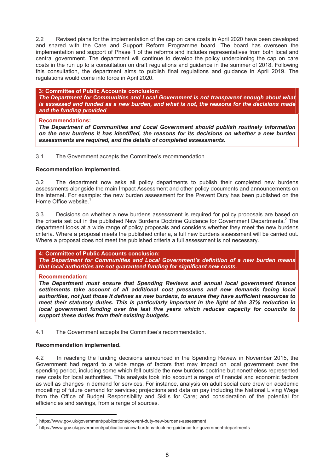2.2 Revised plans for the implementation of the cap on care costs in April 2020 have been developed and shared with the Care and Support Reform Programme board. The board has overseen the implementation and support of Phase 1 of the reforms and includes representatives from both local and central government. The department will continue to develop the policy underpinning the cap on care costs in the run up to a consultation on draft regulations and guidance in the summer of 2018. Following this consultation, the department aims to publish final regulations and guidance in April 2019. The regulations would come into force in April 2020.

**3: Committee of Public Accounts conclusion:** 

*The Department for Communities and Local Government is not transparent enough about what is assessed and funded as a new burden, and what is not, the reasons for the decisions made and the funding provided* 

#### **Recommendations:**

*The Department of Communities and Local Government should publish routinely information on the new burdens it has identified, the reasons for its decisions on whether a new burden assessments are required, and the details of completed assessments.*

3.1 The Government accepts the Committee's recommendation.

#### **Recommendation implemented.**

3.2 The department now asks all policy departments to publish their completed new burdens assessments alongside the main Impact Assessment and other policy documents and announcements on the internet. For example: the new burden assessment for the Prevent Duty has been published on the Home Office website.<sup>1</sup>

3.3 Decisions on whether a new burdens assessment is required for policy proposals are based on the criteria set out in the published New Burdens Doctrine Guidance for Government Departments.<sup>2</sup> The department looks at a wide range of policy proposals and considers whether they meet the new burdens criteria. Where a proposal meets the published criteria, a full new burdens assessment will be carried out. Where a proposal does not meet the published criteria a full assessment is not necessary.

#### **4: Committee of Public Accounts conclusion:**

*The Department for Communities and Local Government's definition of a new burden means that local authorities are not guaranteed funding for significant new costs.* 

#### **Recommendation:**

l

*The Department must ensure that Spending Reviews and annual local government finance settlements take account of all additional cost pressures and new demands facing local authorities, not just those it defines as new burdens, to ensure they have sufficient resources to meet their statutory duties. This is particularly important in the light of the 37% reduction in local government funding over the last five years which reduces capacity for councils to support these duties from their existing budgets.*

4.1 The Government accepts the Committee's recommendation.

#### **Recommendation implemented.**

4.2 In reaching the funding decisions announced in the Spending Review in November 2015, the Government had regard to a wide range of factors that may impact on local government over the spending period, including some which fell outside the new burdens doctrine but nonetheless represented new costs for local authorities. This analysis took into account a range of financial and economic factors as well as changes in demand for services. For instance, analysis on adult social care drew on academic modelling of future demand for services; projections and data on pay including the National Living Wage from the Office of Budget Responsibility and Skills for Care; and consideration of the potential for efficiencies and savings, from a range of sources.

<sup>1</sup> https://www.gov.uk/government/publications/prevent-duty-new-burdens-assessment

<sup>2&</sup>lt;br>https://www.gov.uk/government/publications/new-burdens-doctrine-guidance-for-government-departments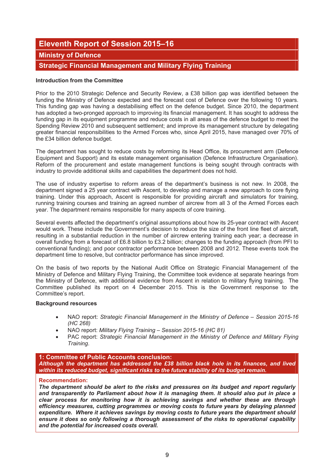# **Eleventh Report of Session 2015–16 Ministry of Defence**

## **Strategic Financial Management and Military Flying Training**

#### **Introduction from the Committee**

Prior to the 2010 Strategic Defence and Security Review, a £38 billion gap was identified between the funding the Ministry of Defence expected and the forecast cost of Defence over the following 10 years. This funding gap was having a destabilising effect on the defence budget. Since 2010, the department has adopted a two-pronged approach to improving its financial management. It has sought to address the funding gap in its equipment programme and reduce costs in all areas of the defence budget to meet the Spending Review 2010 and subsequent settlement; and improve its management structure by delegating greater financial responsibilities to the Armed Forces who, since April 2015, have managed over 70% of the £34 billion defence budget.

The department has sought to reduce costs by reforming its Head Office, its procurement arm (Defence Equipment and Support) and its estate management organisation (Defence Infrastructure Organisation). Reform of the procurement and estate management functions is being sought through contracts with industry to provide additional skills and capabilities the department does not hold.

The use of industry expertise to reform areas of the department's business is not new. In 2008, the department signed a 25 year contract with Ascent, to develop and manage a new approach to core flying training. Under this approach, Ascent is responsible for providing aircraft and simulators for training, running training courses and training an agreed number of aircrew from all 3 of the Armed Forces each year. The department remains responsible for many aspects of core training.

Several events affected the department's original assumptions about how its 25-year contract with Ascent would work. These include the Government's decision to reduce the size of the front line fleet of aircraft, resulting in a substantial reduction in the number of aircrew entering training each year; a decrease in overall funding from a forecast of £6.8 billion to £3.2 billion; changes to the funding approach (from PFI to conventional funding); and poor contractor performance between 2008 and 2012. These events took the department time to resolve, but contractor performance has since improved.

On the basis of two reports by the National Audit Office on Strategic Financial Management of the Ministry of Defence and Military Flying Training, the Committee took evidence at separate hearings from the Ministry of Defence, with additional evidence from Ascent in relation to military flying training. The Committee published its report on 4 December 2015. This is the Government response to the Committee's report.

#### **Background resources**

- NAO report: *Strategic Financial Management in the Ministry of Defence Session 2015-16 (HC 268)*
- NAO report: *Military Flying Training Session 2015-16 (HC 81)*
- PAC report: *Strategic Financial Management in the Ministry of Defence and Military Flying Training*.

#### **1: Committee of Public Accounts conclusion:**

*Although the department has addressed the £38 billion black hole in its finances, and lived within its reduced budget, significant risks to the future stability of its budget remain.* 

#### **Recommendation:**

*The department should be alert to the risks and pressures on its budget and report regularly and transparently to Parliament about how it is managing them. It should also put in place a clear process for monitoring how it is achieving savings and whether these are through efficiency measures, cutting programmes or moving costs to future years by delaying planned expenditure. Where it achieves savings by moving costs to future years the department should ensure it does so only following a thorough assessment of the risks to operational capability and the potential for increased costs overall.*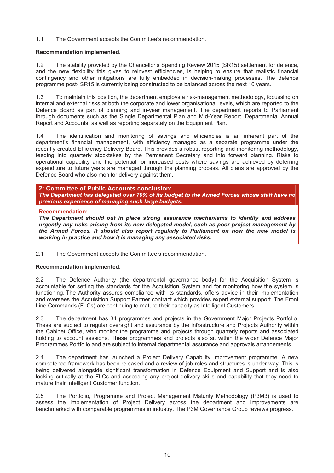1.1 The Government accepts the Committee's recommendation.

#### **Recommendation implemented.**

1.2 The stability provided by the Chancellor's Spending Review 2015 (SR15) settlement for defence, and the new flexibility this gives to reinvest efficiencies, is helping to ensure that realistic financial contingency and other mitigations are fully embedded in decision-making processes. The defence programme post- SR15 is currently being constructed to be balanced across the next 10 years.

1.3 To maintain this position, the department employs a risk-management methodology, focussing on internal and external risks at both the corporate and lower organisational levels, which are reported to the Defence Board as part of planning and in-year management. The department reports to Parliament through documents such as the Single Departmental Plan and Mid-Year Report, Departmental Annual Report and Accounts, as well as reporting separately on the Equipment Plan.

1.4 The identification and monitoring of savings and efficiencies is an inherent part of the department's financial management, with efficiency managed as a separate programme under the recently created Efficiency Delivery Board. This provides a robust reporting and monitoring methodology, feeding into quarterly stocktakes by the Permanent Secretary and into forward planning. Risks to operational capability and the potential for increased costs where savings are achieved by deferring expenditure to future years are managed through the planning process. All plans are approved by the Defence Board who also monitor delivery against them.

#### **2: Committee of Public Accounts conclusion:**  *The Department has delegated over 70% of its budget to the Armed Forces whose staff have no previous experience of managing such large budgets.*

#### **Recommendation:**

*The Department should put in place strong assurance mechanisms to identify and address urgently any risks arising from its new delegated model, such as poor project management by the Armed Forces. It should also report regularly to Parliament on how the new model is working in practice and how it is managing any associated risks.* 

2.1 The Government accepts the Committee's recommendation.

#### **Recommendation implemented.**

2.2 The Defence Authority (the departmental governance body) for the Acquisition System is accountable for setting the standards for the Acquisition System and for monitoring how the system is functioning. The Authority assures compliance with its standards, offers advice in their implementation and oversees the Acquisition Support Partner contract which provides expert external support. The Front Line Commands (FLCs) are continuing to mature their capacity as Intelligent Customers.

2.3 The department has 34 programmes and projects in the Government Major Projects Portfolio. These are subject to regular oversight and assurance by the Infrastructure and Projects Authority within the Cabinet Office, who monitor the programme and projects through quarterly reports and associated holding to account sessions. These programmes and projects also sit within the wider Defence Major Programmes Portfolio and are subject to internal departmental assurance and approvals arrangements.

2.4 The department has launched a Project Delivery Capability Improvement programme. A new competence framework has been released and a review of job roles and structures is under way. This is being delivered alongside significant transformation in Defence Equipment and Support and is also looking critically at the FLCs and assessing any project delivery skills and capability that they need to mature their Intelligent Customer function.

2.5 The Portfolio, Programme and Project Management Maturity Methodology (P3M3) is used to assess the implementation of Project Delivery across the department and improvements are benchmarked with comparable programmes in industry. The P3M Governance Group reviews progress.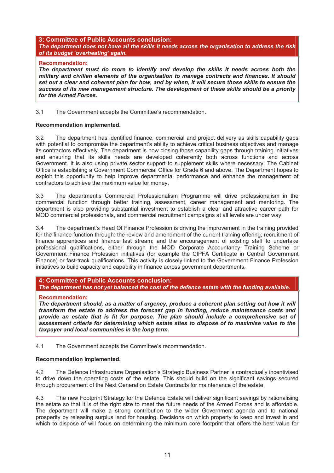#### **3: Committee of Public Accounts conclusion:** *The department does not have all the skills it needs across the organisation to address the risk of its budget 'overheating' again.*

#### **Recommendation:**

*The department must do more to identify and develop the skills it needs across both the military and civilian elements of the organisation to manage contracts and finances. It should set out a clear and coherent plan for how, and by when, it will secure those skills to ensure the success of its new management structure. The development of these skills should be a priority for the Armed Forces.* 

3.1 The Government accepts the Committee's recommendation.

#### **Recommendation implemented.**

3.2 The department has identified finance, commercial and project delivery as skills capability gaps with potential to compromise the department's ability to achieve critical business objectives and manage its contractors effectively. The department is now closing those capability gaps through training initiatives and ensuring that its skills needs are developed coherently both across functions and across Government. It is also using private sector support to supplement skills where necessary. The Cabinet Office is establishing a Government Commercial Office for Grade 6 and above. The Department hopes to exploit this opportunity to help improve departmental performance and enhance the management of contractors to achieve the maximum value for money.

3.3 The department's Commercial Professionalism Programme will drive professionalism in the commercial function through better training, assessment, career management and mentoring. The department is also providing substantial investment to establish a clear and attractive career path for MOD commercial professionals, and commercial recruitment campaigns at all levels are under way.

3.4 The department's Head Of Finance Profession is driving the improvement in the training provided for the finance function through: the review and amendment of the current training offering; recruitment of finance apprentices and finance fast stream; and the encouragement of existing staff to undertake professional qualifications, either through the MOD Corporate Accountancy Training Scheme or Government Finance Profession initiatives (for example the CIPFA Certificate in Central Government Finance) or fast-track qualifications. This activity is closely linked to the Government Finance Profession initiatives to build capacity and capability in finance across government departments.

#### **4: Committee of Public Accounts conclusion:**

*The department has not yet balanced the cost of the defence estate with the funding available.*

#### **Recommendation:**

*The department should, as a matter of urgency, produce a coherent plan setting out how it will transform the estate to address the forecast gap in funding, reduce maintenance costs and provide an estate that is fit for purpose. The plan should include a comprehensive set of assessment criteria for determining which estate sites to dispose of to maximise value to the taxpayer and local communities in the long term.* 

4.1 The Government accepts the Committee's recommendation.

#### **Recommendation implemented.**

4.2 The Defence Infrastructure Organisation's Strategic Business Partner is contractually incentivised to drive down the operating costs of the estate. This should build on the significant savings secured through procurement of the Next Generation Estate Contracts for maintenance of the estate.

4.3 The new Footprint Strategy for the Defence Estate will deliver significant savings by rationalising the estate so that it is of the right size to meet the future needs of the Armed Forces and is affordable. The department will make a strong contribution to the wider Government agenda and to national prosperity by releasing surplus land for housing. Decisions on which property to keep and invest in and which to dispose of will focus on determining the minimum core footprint that offers the best value for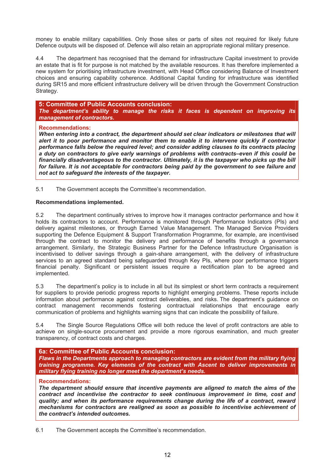money to enable military capabilities. Only those sites or parts of sites not required for likely future Defence outputs will be disposed of. Defence will also retain an appropriate regional military presence.

4.4 The department has recognised that the demand for infrastructure Capital investment to provide an estate that is fit for purpose is not matched by the available resources. It has therefore implemented a new system for prioritising infrastructure investment, with Head Office considering Balance of Investment choices and ensuring capability coherence. Additional Capital funding for infrastructure was identified during SR15 and more efficient infrastructure delivery will be driven through the Government Construction Strategy.

**5: Committee of Public Accounts conclusion:** *The department's ability to manage the risks it faces is dependent on improving its management of contractors.*

#### **Recommendations:**

*When entering into a contract, the department should set clear indicators or milestones that will alert it to poor performance and monitor them to enable it to intervene quickly if contractor performance falls below the required level; and consider adding clauses to its contracts placing a duty on contractors to give early warnings of problems with contracts–even if this could be financially disadvantageous to the contractor. Ultimately, it is the taxpayer who picks up the bill*  for failure. It is not acceptable for contractors being paid by the government to see failure and *not act to safeguard the interests of the taxpayer.* 

5.1 The Government accepts the Committee's recommendation.

#### **Recommendations implemented.**

5.2 The department continually strives to improve how it manages contractor performance and how it holds its contractors to account. Performance is monitored through Performance Indicators (PIs) and delivery against milestones, or through Earned Value Management. The Managed Service Providers supporting the Defence Equipment & Support Transformation Programme, for example, are incentivised through the contract to monitor the delivery and performance of benefits through a governance arrangement. Similarly, the Strategic Business Partner for the Defence Infrastructure Organisation is incentivised to deliver savings through a gain-share arrangement, with the delivery of infrastructure services to an agreed standard being safeguarded through Key PIs, where poor performance triggers financial penalty. Significant or persistent issues require a rectification plan to be agreed and implemented.

5.3 The department's policy is to include in all but its simplest or short term contracts a requirement for suppliers to provide periodic progress reports to highlight emerging problems. These reports include information about performance against contract deliverables, and risks. The department's guidance on contract management recommends fostering contractual relationships that encourage early communication of problems and highlights warning signs that can indicate the possibility of failure.

5.4 The Single Source Regulations Office will both reduce the level of profit contractors are able to achieve on single-source procurement and provide a more rigorous examination, and much greater transparency, of contract costs and charges.

#### **6a: Committee of Public Accounts conclusion:**

*Flaws in the Departments approach to managing contractors are evident from the military flying training programme. Key elements of the contract with Ascent to deliver improvements in military flying training no longer meet the department's needs.*

#### **Recommendations:**

*The department should ensure that incentive payments are aligned to match the aims of the contract and incentivise the contractor to seek continuous improvement in time, cost and quality; and when its performance requirements change during the life of a contract, reward mechanisms for contractors are realigned as soon as possible to incentivise achievement of the contract's intended outcomes.* 

6.1 The Government accepts the Committee's recommendation.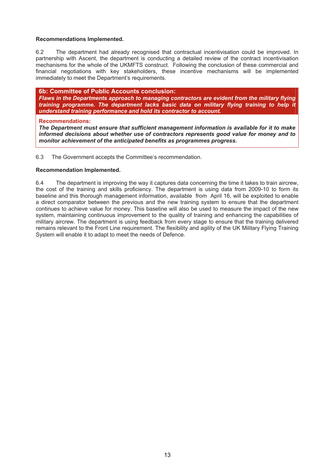#### **Recommendations Implemented.**

6.2 The department had already recognised that contractual incentivisation could be improved. In partnership with Ascent, the department is conducting a detailed review of the contract incentivisation mechanisms for the whole of the UKMFTS construct. Following the conclusion of these commercial and financial negotiations with key stakeholders, these incentive mechanisms will be implemented immediately to meet the Department's requirements.

**6b: Committee of Public Accounts conclusion:** *Flaws in the Departments approach to managing contractors are evident from the military flying training programme. The department lacks basic data on military flying training to help it understand training performance and hold its contractor to account.*

#### **Recommendations:**

*The Department must ensure that sufficient management information is available for it to make informed decisions about whether use of contractors represents good value for money and to monitor achievement of the anticipated benefits as programmes progress.* 

6.3 The Government accepts the Committee's recommendation.

#### **Recommendation Implemented.**

6.4 The department is improving the way it captures data concerning the time it takes to train aircrew, the cost of the training and skills proficiency. The department is using data from 2009-10 to form its baseline and this thorough management information, available from April 16, will be exploited to enable a direct comparator between the previous and the new training system to ensure that the department continues to achieve value for money. This baseline will also be used to measure the impact of the new system, maintaining continuous improvement to the quality of training and enhancing the capabilities of military aircrew. The department is using feedback from every stage to ensure that the training delivered remains relevant to the Front Line requirement. The flexibility and agility of the UK Military Flying Training System will enable it to adapt to meet the needs of Defence.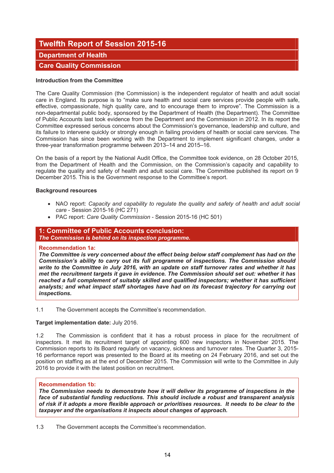# **Twelfth Report of Session 2015-16**

### **Department of Health**

## **Care Quality Commission**

#### **Introduction from the Committee**

The Care Quality Commission (the Commission) is the independent regulator of health and adult social care in England. Its purpose is to "make sure health and social care services provide people with safe, effective, compassionate, high quality care, and to encourage them to improve". The Commission is a non-departmental public body, sponsored by the Department of Health (the Department). The Committee of Public Accounts last took evidence from the Department and the Commission in 2012. In its report the Committee expressed serious concerns about the Commission's governance, leadership and culture, and its failure to intervene quickly or strongly enough in failing providers of health or social care services. The Commission has since been working with the Department to implement significant changes, under a three-year transformation programme between 2013–14 and 2015–16.

On the basis of a report by the National Audit Office, the Committee took evidence, on 28 October 2015, from the Department of Health and the Commission, on the Commission's capacity and capability to regulate the quality and safety of health and adult social care. The Committee published its report on 9 December 2015. This is the Government response to the Committee's report.

#### **Background resources**

- NAO report: *Capacity and capability to regulate the quality and safety of health and adult social care* - Session 2015-16 (HC 271)
- PAC report: *Care Quality Commission* Session 2015-16 (HC 501)

# **1: Committee of Public Accounts conclusion:**

*The Commission is behind on its inspection programme.*

#### **Recommendation 1a:**

*The Committee is very concerned about the effect being below staff complement has had on the Commission's ability to carry out its full programme of inspections. The Commission should write to the Committee in July 2016, with an update on staff turnover rates and whether it has met the recruitment targets it gave in evidence. The Commission should set out: whether it has reached a full complement of suitably skilled and qualified inspectors; whether it has sufficient analysts; and what impact staff shortages have had on its forecast trajectory for carrying out inspections.* 

1.1 The Government accepts the Committee's recommendation.

#### **Target implementation date:** July 2016.

1.2 The Commission is confident that it has a robust process in place for the recruitment of inspectors. It met its recruitment target of appointing 600 new inspectors in November 2015. The Commission reports to its Board regularly on vacancy, sickness and turnover rates. The Quarter 3, 2015- 16 performance report was presented to the Board at its meeting on 24 February 2016, and set out the position on staffing as at the end of December 2015. The Commission will write to the Committee in July 2016 to provide it with the latest position on recruitment.

#### **Recommendation 1b:**

*The Commission needs to demonstrate how it will deliver its programme of inspections in the face of substantial funding reductions. This should include a robust and transparent analysis of risk if it adopts a more flexible approach or prioritises resources. It needs to be clear to the taxpayer and the organisations it inspects about changes of approach.* 

1.3 The Government accepts the Committee's recommendation.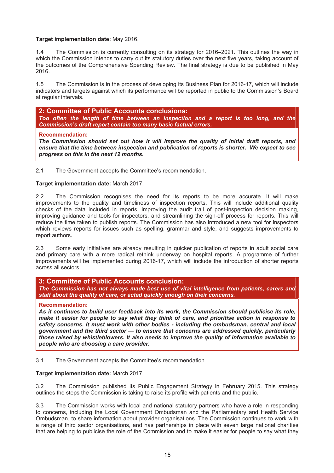#### **Target implementation date:** May 2016.

1.4 The Commission is currently consulting on its strategy for 2016–2021. This outlines the way in which the Commission intends to carry out its statutory duties over the next five years, taking account of the outcomes of the Comprehensive Spending Review. The final strategy is due to be published in May 2016.

1.5 The Commission is in the process of developing its Business Plan for 2016-17, which will include indicators and targets against which its performance will be reported in public to the Commission's Board at regular intervals.

**2: Committee of Public Accounts conclusions:**  *Too often the length of time between an inspection and a report is too long, and the Commission's draft report contain too many basic factual errors.* 

#### **Recommendation:**

*The Commission should set out how it will improve the quality of initial draft reports, and ensure that the time between inspection and publication of reports is shorter. We expect to see progress on this in the next 12 months.* 

2.1 The Government accepts the Committee's recommendation.

#### **Target implementation date:** March 2017.

2.2 The Commission recognises the need for its reports to be more accurate. It will make improvements to the quality and timeliness of inspection reports. This will include additional quality checks of the data included in reports, improving the audit trail of post-inspection decision making, improving guidance and tools for inspectors, and streamlining the sign-off process for reports. This will reduce the time taken to publish reports. The Commission has also introduced a new tool for inspectors which reviews reports for issues such as spelling, grammar and style, and suggests improvements to report authors.

2.3 Some early initiatives are already resulting in quicker publication of reports in adult social care and primary care with a more radical rethink underway on hospital reports. A programme of further improvements will be implemented during 2016-17, which will include the introduction of shorter reports across all sectors.

#### **3: Committee of Public Accounts conclusion:**

*The Commission has not always made best use of vital intelligence from patients, carers and staff about the quality of care, or acted quickly enough on their concerns.* 

#### **Recommendation:**

*As it continues to build user feedback into its work, the Commission should publicise its role, make it easier for people to say what they think of care, and prioritise action in response to safety concerns. It must work with other bodies - including the ombudsman, central and local government and the third sector — to ensure that concerns are addressed quickly, particularly those raised by whistleblowers. It also needs to improve the quality of information available to people who are choosing a care provider.*

3.1 The Government accepts the Committee's recommendation.

#### **Target implementation date:** March 2017.

3.2 The Commission published its Public Engagement Strategy in February 2015. This strategy outlines the steps the Commission is taking to raise its profile with patients and the public.

3.3 The Commission works with local and national statutory partners who have a role in responding to concerns, including the Local Government Ombudsman and the Parliamentary and Health Service Ombudsman, to share information about provider organisations. The Commission continues to work with a range of third sector organisations, and has partnerships in place with seven large national charities that are helping to publicise the role of the Commission and to make it easier for people to say what they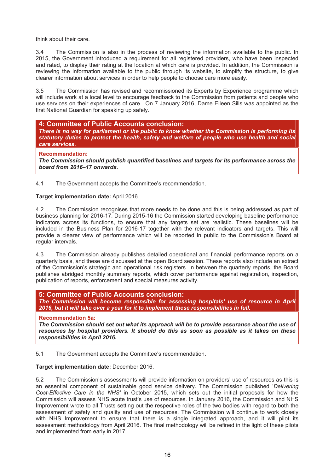think about their care.

3.4 The Commission is also in the process of reviewing the information available to the public. In 2015, the Government introduced a requirement for all registered providers, who have been inspected and rated, to display their rating at the location at which care is provided. In addition, the Commission is reviewing the information available to the public through its website, to simplify the structure, to give clearer information about services in order to help people to choose care more easily.

3.5 The Commission has revised and recommissioned its Experts by Experience programme which will include work at a local level to encourage feedback to the Commission from patients and people who use services on their experiences of care. On 7 January 2016, Dame Eileen Sills was appointed as the first National Guardian for speaking up safely.

#### **4: Committee of Public Accounts conclusion:**

*There is no way for parliament or the public to know whether the Commission is performing its statutory duties to protect the health, safety and welfare of people who use health and social care services.* 

#### **Recommendation:**

*The Commission should publish quantified baselines and targets for its performance across the board from 2016–17 onwards.*

4.1 The Government accepts the Committee's recommendation.

#### **Target implementation date:** April 2016.

4.2 The Commission recognises that more needs to be done and this is being addressed as part of business planning for 2016-17. During 2015-16 the Commission started developing baseline performance indicators across its functions, to ensure that any targets set are realistic. These baselines will be included in the Business Plan for 2016-17 together with the relevant indicators and targets. This will provide a clearer view of performance which will be reported in public to the Commission's Board at regular intervals.

4.3 The Commission already publishes detailed operational and financial performance reports on a quarterly basis, and these are discussed at the open Board session. These reports also include an extract of the Commission's strategic and operational risk registers. In between the quarterly reports, the Board publishes abridged monthly summary reports, which cover performance against registration, inspection, publication of reports, enforcement and special measures activity.

#### **5: Committee of Public Accounts conclusion:**

*The Commission will become responsible for assessing hospitals' use of resource in April 2016, but it will take over a year for it to implement these responsibilities in full.* 

#### **Recommendation 5a:**

*The Commission should set out what its approach will be to provide assurance about the use of resources by hospital providers. It should do this as soon as possible as it takes on these responsibilities in April 2016.*

5.1 The Government accepts the Committee's recommendation.

#### **Target implementation date:** December 2016.

5.2 The Commission's assessments will provide information on providers' use of resources as this is an essential component of sustainable good service delivery. The Commission published '*Delivering Cost-Effective Care in the NHS'* in October 2015, which sets out the initial proposals for how the Commission will assess NHS acute trust's use of resources. In January 2016, the Commission and NHS Improvement wrote to all Trusts setting out the respective roles of the two bodies with regard to both the assessment of safety and quality and use of resources. The Commission will continue to work closely with NHS Improvement to ensure that there is a single integrated approach, and it will pilot its assessment methodology from April 2016. The final methodology will be refined in the light of these pilots and implemented from early in 2017.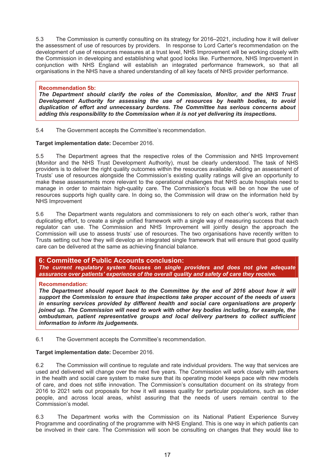5.3 The Commission is currently consulting on its strategy for 2016–2021, including how it will deliver the assessment of use of resources by providers. In response to Lord Carter's recommendation on the development of use of resources measures at a trust level, NHS Improvement will be working closely with the Commission in developing and establishing what good looks like. Furthermore, NHS Improvement in conjunction with NHS England will establish an integrated performance framework, so that all organisations in the NHS have a shared understanding of all key facets of NHS provider performance.

#### **Recommendation 5b:**

*The Department should clarify the roles of the Commission, Monitor, and the NHS Trust Development Authority for assessing the use of resources by health bodies, to avoid duplication of effort and unnecessary burdens. The Committee has serious concerns about adding this responsibility to the Commission when it is not yet delivering its inspections.*

5.4 The Government accepts the Committee's recommendation.

#### **Target implementation date:** December 2016.

5.5 The Department agrees that the respective roles of the Commission and NHS Improvement (Monitor and the NHS Trust Development Authority), must be clearly understood. The task of NHS providers is to deliver the right quality outcomes within the resources available. Adding an assessment of Trusts' use of resources alongside the Commission's existing quality ratings will give an opportunity to make these assessments more relevant to the operational challenges that NHS acute hospitals need to manage in order to maintain high-quality care. The Commission's focus will be on how the use of resources supports high quality care. In doing so, the Commission will draw on the information held by NHS Improvement

5.6 The Department wants regulators and commissioners to rely on each other's work, rather than duplicating effort, to create a single unified framework with a single way of measuring success that each regulator can use. The Commission and NHS Improvement will jointly design the approach the Commission will use to assess trusts' use of resources. The two organisations have recently written to Trusts setting out how they will develop an integrated single framework that will ensure that good quality care can be delivered at the same as achieving financial balance.

#### **6: Committee of Public Accounts conclusion:**

*The current regulatory system focuses on single providers and does not give adequate assurance over patients' experience of the overall quality and safety of care they receive.* 

#### **Recommendation:**

*The Department should report back to the Committee by the end of 2016 about how it will support the Commission to ensure that inspections take proper account of the needs of users in ensuring services provided by different health and social care organisations are properly joined up. The Commission will need to work with other key bodies including, for example, the ombudsman, patient representative groups and local delivery partners to collect sufficient information to inform its judgements.* 

6.1 The Government accepts the Committee's recommendation.

#### **Target implementation date:** December 2016.

6.2 The Commission will continue to regulate and rate individual providers. The way that services are used and delivered will change over the next five years. The Commission will work closely with partners in the health and social care system to make sure that its operating model keeps pace with new models of care, and does not stifle innovation. The Commission's consultation document on its strategy from 2016 to 2021 sets out proposals for how it will assess quality for particular populations, such as older people, and across local areas, whilst assuring that the needs of users remain central to the Commission's model.

6.3 The Department works with the Commission on its National Patient Experience Survey Programme and coordinating of the programme with NHS England. This is one way in which patients can be involved in their care. The Commission will soon be consulting on changes that they would like to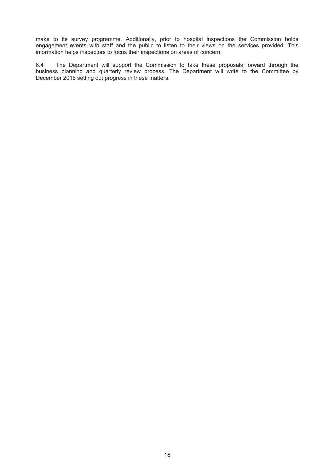make to its survey programme. Additionally, prior to hospital inspections the Commission holds engagement events with staff and the public to listen to their views on the services provided. This information helps inspectors to focus their inspections on areas of concern.

6.4 The Department will support the Commission to take these proposals forward through the business planning and quarterly review process. The Department will write to the Committee by December 2016 setting out progress in these matters.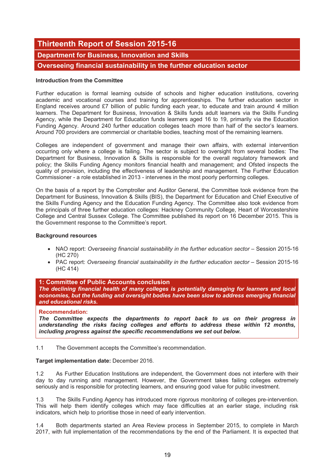# **Thirteenth Report of Session 2015-16**

## **Department for Business, Innovation and Skills**

**Overseeing financial sustainability in the further education sector** 

#### **Introduction from the Committee**

Further education is formal learning outside of schools and higher education institutions, covering academic and vocational courses and training for apprenticeships. The further education sector in England receives around £7 billion of public funding each year, to educate and train around 4 million learners. The Department for Business, Innovation & Skills funds adult learners via the Skills Funding Agency, while the Department for Education funds learners aged 16 to 19, primarily via the Education Funding Agency. Around 240 further education colleges teach more than half of the sector's learners. Around 700 providers are commercial or charitable bodies, teaching most of the remaining learners.

Colleges are independent of government and manage their own affairs, with external intervention occurring only where a college is failing. The sector is subject to oversight from several bodies: The Department for Business, Innovation & Skills is responsible for the overall regulatory framework and policy; the Skills Funding Agency monitors financial health and management; and Ofsted inspects the quality of provision, including the effectiveness of leadership and management. The Further Education Commissioner - a role established in 2013 - intervenes in the most poorly performing colleges.

On the basis of a report by the Comptroller and Auditor General, the Committee took evidence from the Department for Business, Innovation & Skills (BIS), the Department for Education and Chief Executive of the Skills Funding Agency and the Education Funding Agency. The Committee also took evidence from the principals of three further education colleges: Hackney Community College, Heart of Worcestershire College and Central Sussex College. The Committee published its report on 16 December 2015. This is the Government response to the Committee's report.

#### **Background resources**

- NAO report: *Overseeing financial sustainability in the further education sector* Session 2015-16 (HC 270)
- PAC report: *Overseeing financial sustainability in the further education sector Session 2015-16* (HC 414)

#### **1: Committee of Public Accounts conclusion**

*The declining financial health of many colleges is potentially damaging for learners and local economies, but the funding and oversight bodies have been slow to address emerging financial and educational risks.*

#### **Recommendation:**

*The Committee expects the departments to report back to us on their progress in understanding the risks facing colleges and efforts to address these within 12 months, including progress against the specific recommendations we set out below.* 

1.1 The Government accepts the Committee's recommendation.

#### **Target implementation date:** December 2016*.*

1.2 As Further Education Institutions are independent, the Government does not interfere with their day to day running and management. However, the Government takes failing colleges extremely seriously and is responsible for protecting learners, and ensuring good value for public investment.

1.3 The Skills Funding Agency has introduced more rigorous monitoring of colleges pre-intervention. This will help them identify colleges which may face difficulties at an earlier stage, including risk indicators, which help to prioritise those in need of early intervention.

1.4 Both departments started an Area Review process in September 2015, to complete in March 2017, with full implementation of the recommendations by the end of the Parliament. It is expected that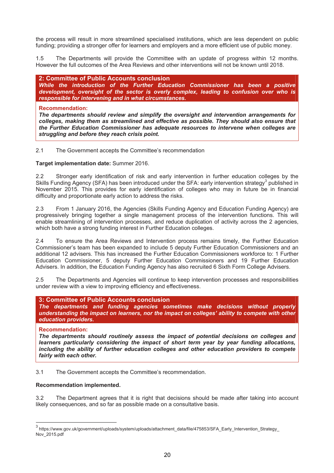the process will result in more streamlined specialised institutions, which are less dependent on public funding; providing a stronger offer for learners and employers and a more efficient use of public money.

1.5 The Departments will provide the Committee with an update of progress within 12 months. However the full outcomes of the Area Reviews and other interventions will not be known until 2018.

**2: Committee of Public Accounts conclusion**  *While the introduction of the Further Education Commissioner has been a positive development, oversight of the sector is overly complex, leading to confusion over who is responsible for intervening and in what circumstances.* 

#### **Recommendation:**

*The departments should review and simplify the oversight and intervention arrangements for colleges, making them as streamlined and effective as possible. They should also ensure that the Further Education Commissioner has adequate resources to intervene when colleges are struggling and before they reach crisis point.* 

#### 2.1 The Government accepts the Committee's recommendation

#### **Target implementation date:** Summer 2016.

2.2 Stronger early identification of risk and early intervention in further education colleges by the Skills Funding Agency (SFA) has been introduced under the SFA: early intervention strategy<sup>3</sup> published in November 2015. This provides for early identification of colleges who may in future be in financial difficulty and proportionate early action to address the risks.

2.3 From 1 January 2016, the Agencies (Skills Funding Agency and Education Funding Agency) are progressively bringing together a single management process of the intervention functions. This will enable streamlining of intervention processes, and reduce duplication of activity across the 2 agencies, which both have a strong funding interest in Further Education colleges.

2.4 To ensure the Area Reviews and Intervention process remains timely, the Further Education Commissioner's team has been expanded to include 5 deputy Further Education Commissioners and an additional 12 advisers. This has increased the Further Education Commissioners workforce to: 1 Further Education Commissioner, 5 deputy Further Education Commissioners and 19 Further Education Advisers. In addition, the Education Funding Agency has also recruited 6 Sixth Form College Advisers.

2.5 The Departments and Agencies will continue to keep intervention processes and responsibilities under review with a view to improving efficiency and effectiveness.

#### **3: Committee of Public Accounts conclusion**

*The departments and funding agencies sometimes make decisions without properly understanding the impact on learners, nor the impact on colleges' ability to compete with other education providers.*

#### **Recommendation:**

l

*The departments should routinely assess the impact of potential decisions on colleges and learners particularly considering the impact of short term year by year funding allocations, including the ability of further education colleges and other education providers to compete fairly with each other.* 

3.1 The Government accepts the Committee's recommendation.

#### **Recommendation implemented.**

3.2 The Department agrees that it is right that decisions should be made after taking into account likely consequences, and so far as possible made on a consultative basis.

<sup>&</sup>lt;sup>3</sup> https://www.gov.uk/government/uploads/system/uploads/attachment\_data/file/475853/SFA\_Early\_Intervention\_Strategy\_ Nov\_2015.pdf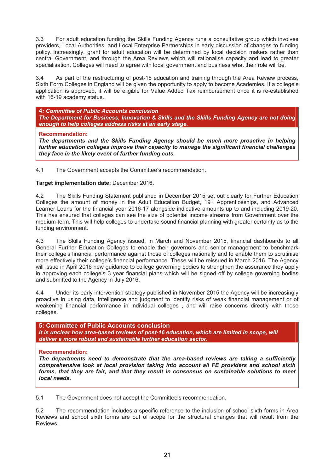3.3 For adult education funding the Skills Funding Agency runs a consultative group which involves providers, Local Authorities, and Local Enterprise Partnerships in early discussion of changes to funding policy. Increasingly, grant for adult education will be determined by local decision makers rather than central Government, and through the Area Reviews which will rationalise capacity and lead to greater specialisation. Colleges will need to agree with local government and business what their role will be.

3.4 As part of the restructuring of post-16 education and training through the Area Review process, Sixth Form Colleges in England will be given the opportunity to apply to become Academies. If a college's application is approved, it will be eligible for Value Added Tax reimbursement once it is re-established with 16-19 academy status.

**4***: Committee of Public Accounts conclusion The Department for Business, Innovation & Skills and the Skills Funding Agency are not doing enough to help colleges address risks at an early stage.*

#### **Recommendation:**

*The departments and the Skills Funding Agency should be much more proactive in helping further education colleges improve their capacity to manage the significant financial challenges they face in the likely event of further funding cuts.*

4.1 The Government accepts the Committee's recommendation.

#### **Target implementation date:** December 2016**.**

4.2 The Skills Funding Statement published in December 2015 set out clearly for Further Education Colleges the amount of money in the Adult Education Budget, 19+ Apprenticeships, and Advanced Learner Loans for the financial year 2016-17 alongside indicative amounts up to and including 2019-20. This has ensured that colleges can see the size of potential income streams from Government over the medium-term. This will help colleges to undertake sound financial planning with greater certainty as to the funding environment.

4.3 The Skills Funding Agency issued, in March and November 2015, financial dashboards to all General Further Education Colleges to enable their governors and senior management to benchmark their college's financial performance against those of colleges nationally and to enable them to scrutinise more effectively their college's financial performance. These will be reissued in March 2016. The Agency will issue in April 2016 new guidance to college governing bodies to strengthen the assurance they apply in approving each college's 3 year financial plans which will be signed off by college governing bodies and submitted to the Agency in July 2016.

4.4 Under its early intervention strategy published in November 2015 the Agency will be increasingly proactive in using data, intelligence and judgment to identify risks of weak financial management or of weakening financial performance in individual colleges , and will raise concerns directly with those colleges.

**5: Committee of Public Accounts conclusion**  It is unclear how area-based reviews of post-16 education, which are limited in scope, will *deliver a more robust and sustainable further education sector.* 

#### **Recommendation:**

*The departments need to demonstrate that the area-based reviews are taking a sufficiently comprehensive look at local provision taking into account all FE providers and school sixth forms, that they are fair, and that they result in consensus on sustainable solutions to meet local needs.* 

5.1 The Government does not accept the Committee's recommendation.

5.2 The recommendation includes a specific reference to the inclusion of school sixth forms in Area Reviews and school sixth forms are out of scope for the structural changes that will result from the **Reviews**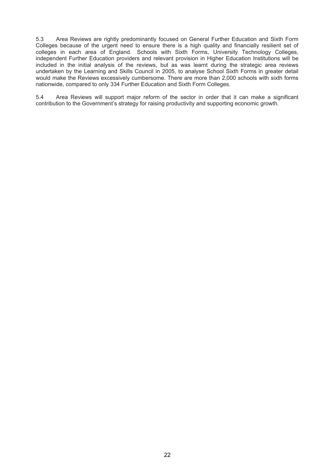5.3 Area Reviews are rightly predominantly focused on General Further Education and Sixth Form Colleges because of the urgent need to ensure there is a high quality and financially resilient set of colleges in each area of England. Schools with Sixth Forms, University Technology Colleges, independent Further Education providers and relevant provision in Higher Education Institutions will be included in the initial analysis of the reviews, but as was learnt during the strategic area reviews undertaken by the Learning and Skills Council in 2005, to analyse School Sixth Forms in greater detail would make the Reviews excessively cumbersome. There are more than 2,000 schools with sixth forms nationwide, compared to only 334 Further Education and Sixth Form Colleges.

5.4 Area Reviews will support major reform of the sector in order that it can make a significant contribution to the Government's strategy for raising productivity and supporting economic growth.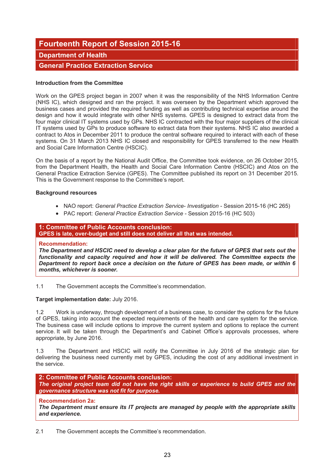# **Fourteenth Report of Session 2015-16**

### **Department of Health**

## **General Practice Extraction Service**

#### **Introduction from the Committee**

Work on the GPES project began in 2007 when it was the responsibility of the NHS Information Centre (NHS IC), which designed and ran the project. It was overseen by the Department which approved the business cases and provided the required funding as well as contributing technical expertise around the design and how it would integrate with other NHS systems. GPES is designed to extract data from the four major clinical IT systems used by GPs. NHS IC contracted with the four major suppliers of the clinical IT systems used by GPs to produce software to extract data from their systems. NHS IC also awarded a contract to Atos in December 2011 to produce the central software required to interact with each of these systems. On 31 March 2013 NHS IC closed and responsibility for GPES transferred to the new Health and Social Care Information Centre (HSCIC).

On the basis of a report by the National Audit Office, the Committee took evidence, on 26 October 2015, from the Department Health, the Health and Social Care Information Centre (HSCIC) and Atos on the General Practice Extraction Service (GPES). The Committee published its report on 31 December 2015. This is the Government response to the Committee's report.

#### **Background resources**

- NAO report: *General Practice Extraction Service- Investigation* Session 2015-16 (HC 265)
- PAC report: *General Practice Extraction Service* Session 2015-16 (HC 503)

#### **1: Committee of Public Accounts conclusion: GPES is late, over-budget and still does not deliver all that was intended.**

#### **Recommendation:**

*The Department and HSCIC need to develop a clear plan for the future of GPES that sets out the functionality and capacity required and how it will be delivered. The Committee expects the Department to report back once a decision on the future of GPES has been made, or within 6 months, whichever is sooner.* 

1.1 The Government accepts the Committee's recommendation.

#### **Target implementation date:** July 2016.

1.2 Work is underway, through development of a business case, to consider the options for the future of GPES, taking into account the expected requirements of the health and care system for the service. The business case will include options to improve the current system and options to replace the current service. It will be taken through the Department's and Cabinet Office's approvals processes, where appropriate, by June 2016.

1.3 The Department and HSCIC will notify the Committee in July 2016 of the strategic plan for delivering the business need currently met by GPES, including the cost of any additional investment in the service.

**2: Committee of Public Accounts conclusion:**  *The original project team did not have the right skills or experience to build GPES and the governance structure was not fit for purpose.*

#### **Recommendation 2a:**

*The Department must ensure its IT projects are managed by people with the appropriate skills and experience.*

2.1 The Government accepts the Committee's recommendation.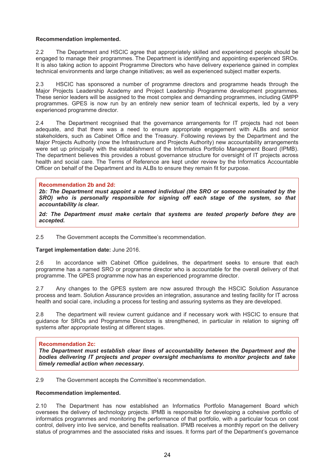#### **Recommendation implemented.**

2.2 The Department and HSCIC agree that appropriately skilled and experienced people should be engaged to manage their programmes. The Department is identifying and appointing experienced SROs. It is also taking action to appoint Programme Directors who have delivery experience gained in complex technical environments and large change initiatives; as well as experienced subject matter experts.

2.3 HSCIC has sponsored a number of programme directors and programme heads through the Major Projects Leadership Academy and Project Leadership Programme development programmes. These senior leaders will be assigned to the most complex and demanding programmes, including GMPP programmes. GPES is now run by an entirely new senior team of technical experts, led by a very experienced programme director.

2.4 The Department recognised that the governance arrangements for IT projects had not been adequate, and that there was a need to ensure appropriate engagement with ALBs and senior stakeholders, such as Cabinet Office and the Treasury. Following reviews by the Department and the Major Projects Authority (now the Infrastructure and Projects Authority) new accountability arrangements were set up principally with the establishment of the Informatics Portfolio Management Board (IPMB). The department believes this provides a robust governance structure for oversight of IT projects across health and social care. The Terms of Reference are kept under review by the Informatics Accountable Officer on behalf of the Department and its ALBs to ensure they remain fit for purpose.

#### **Recommendation 2b and 2d:**

*2b: The Department must appoint a named individual (the SRO or someone nominated by the SRO) who is personally responsible for signing off each stage of the system, so that accountability is clear.* 

*2d: The Department must make certain that systems are tested properly before they are accepted.*

2.5 The Government accepts the Committee's recommendation.

#### **Target implementation date:** June 2016.

2.6 In accordance with Cabinet Office guidelines, the department seeks to ensure that each programme has a named SRO or programme director who is accountable for the overall delivery of that programme. The GPES programme now has an experienced programme director.

2.7 Any changes to the GPES system are now assured through the HSCIC Solution Assurance process and team. Solution Assurance provides an integration, assurance and testing facility for IT across health and social care, including a process for testing and assuring systems as they are developed.

2.8 The department will review current guidance and if necessary work with HSCIC to ensure that guidance for SROs and Programme Directors is strengthened, in particular in relation to signing off systems after appropriate testing at different stages.

#### **Recommendation 2c:**

*The Department must establish clear lines of accountability between the Department and the bodies delivering IT projects and proper oversight mechanisms to monitor projects and take timely remedial action when necessary.*

2.9 The Government accepts the Committee's recommendation.

#### **Recommendation implemented.**

2.10 The Department has now established an Informatics Portfolio Management Board which oversees the delivery of technology projects. IPMB is responsible for developing a cohesive portfolio of informatics programmes and monitoring the performance of that portfolio, with a particular focus on cost control, delivery into live service, and benefits realisation. IPMB receives a monthly report on the delivery status of programmes and the associated risks and issues. It forms part of the Department's governance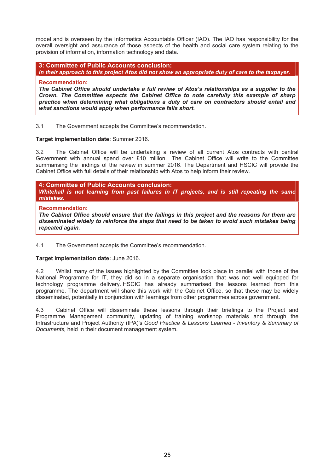model and is overseen by the Informatics Accountable Officer (IAO). The IAO has responsibility for the overall oversight and assurance of those aspects of the health and social care system relating to the provision of information, information technology and data.

**3: Committee of Public Accounts conclusion:**  *In their approach to this project Atos did not show an appropriate duty of care to the taxpayer.*

#### **Recommendation:**

*The Cabinet Office should undertake a full review of Atos's relationships as a supplier to the Crown. The Committee expects the Cabinet Office to note carefully this example of sharp practice when determining what obligations a duty of care on contractors should entail and what sanctions would apply when performance falls short.*

3.1 The Government accepts the Committee's recommendation.

#### **Target implementation date:** Summer 2016.

3.2 The Cabinet Office will be undertaking a review of all current Atos contracts with central Government with annual spend over £10 million. The Cabinet Office will write to the Committee summarising the findings of the review in summer 2016. The Department and HSCIC will provide the Cabinet Office with full details of their relationship with Atos to help inform their review.

**4: Committee of Public Accounts conclusion:**  *Whitehall is not learning from past failures in IT projects, and is still repeating the same mistakes***.**

#### **Recommendation:**

*The Cabinet Office should ensure that the failings in this project and the reasons for them are disseminated widely to reinforce the steps that need to be taken to avoid such mistakes being repeated again.*

4.1 The Government accepts the Committee's recommendation.

#### **Target implementation date:** June 2016.

4.2 Whilst many of the issues highlighted by the Committee took place in parallel with those of the National Programme for IT, they did so in a separate organisation that was not well equipped for technology programme delivery. HSCIC has already summarised the lessons learned from this programme. The department will share this work with the Cabinet Office, so that these may be widely disseminated, potentially in conjunction with learnings from other programmes across government.

4.3 Cabinet Office will disseminate these lessons through their briefings to the Project and Programme Management community, updating of training workshop materials and through the Infrastructure and Project Authority (IPA)'s *Good Practice & Lessons Learned - Inventory & Summary of Documents,* held in their document management system.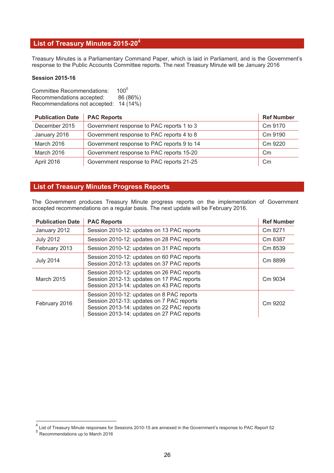## **List of Treasury Minutes 2015-204**

Treasury Minutes is a Parliamentary Command Paper, which is laid in Parliament, and is the Government's response to the Public Accounts Committee reports. The next Treasury Minute will be January 2016

#### **Session 2015-16**

Committee Recommendations: 100<sup>5</sup> Recommendations accepted: 86 (86%) Recommendations not accepted: 14 (14%)

| <b>Publication Date</b> | <b>PAC Reports</b>                         | <b>Ref Number</b> |
|-------------------------|--------------------------------------------|-------------------|
| December 2015           | Government response to PAC reports 1 to 3  | Cm 9170           |
| January 2016            | Government response to PAC reports 4 to 8  | Cm 9190           |
| March 2016              | Government response to PAC reports 9 to 14 | Cm 9220           |
| March 2016              | Government response to PAC reports 15-20   | $\mathsf{Cm}$     |
| April 2016              | Government response to PAC reports 21-25   | $\mathsf{C}$ m    |

#### **List of Treasury Minutes Progress Reports**

The Government produces Treasury Minute progress reports on the implementation of Government accepted recommendations on a regular basis. The next update will be February 2016.

| <b>Publication Date</b> | <b>PAC Reports</b>                                                                                                                                                                 | <b>Ref Number</b> |
|-------------------------|------------------------------------------------------------------------------------------------------------------------------------------------------------------------------------|-------------------|
| January 2012            | Session 2010-12: updates on 13 PAC reports                                                                                                                                         | Cm 8271           |
| <b>July 2012</b>        | Session 2010-12: updates on 28 PAC reports                                                                                                                                         | Cm 8387           |
| February 2013           | Session 2010-12: updates on 31 PAC reports                                                                                                                                         | Cm 8539           |
| <b>July 2014</b>        | Session 2010-12: updates on 60 PAC reports<br>Session 2012-13: updates on 37 PAC reports                                                                                           | Cm 8899           |
| <b>March 2015</b>       | Session 2010-12: updates on 26 PAC reports<br>Session 2012-13: updates on 17 PAC reports<br>Session 2013-14: updates on 43 PAC reports                                             | Cm 9034           |
| February 2016           | Session 2010-12: updates on 8 PAC reports<br>Session 2012-13: updates on 7 PAC reports<br>Session 2013-14: updates on 22 PAC reports<br>Session 2013-14: updates on 27 PAC reports | Cm 9202           |

 4 List of Treasury Minute responses for Sessions 2010-15 are annexed in the Government's response to PAC Report 52

 $5<sup>5</sup>$  Recommendations up to March 2016